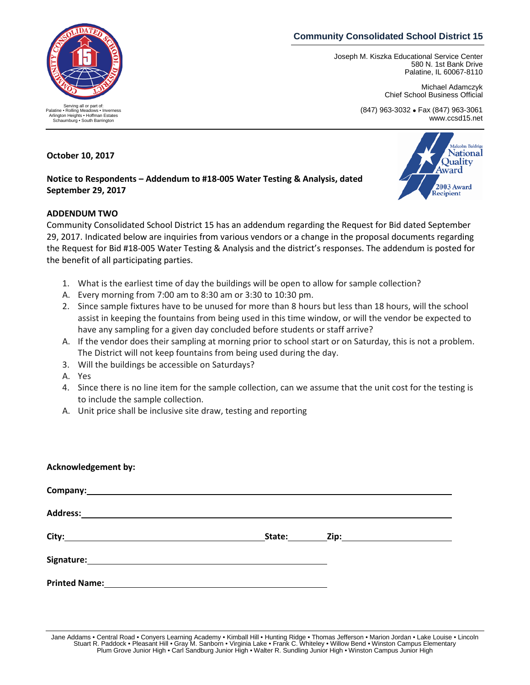# **Community Consolidated School District 15**

Joseph M. Kiszka Educational Service Center 580 N. 1st Bank Drive Palatine, IL 60067-8110

> Michael Adamczyk Chief School Business Official

(847) 963-3032 • Fax (847) 963-3061 www.ccsd15.net



#### **October 10, 2017**

## **Notice to Respondents – Addendum to #18-005 Water Testing & Analysis, dated September 29, 2017**

### **ADDENDUM TWO**

Community Consolidated School District 15 has an addendum regarding the Request for Bid dated September 29, 2017. Indicated below are inquiries from various vendors or a change in the proposal documents regarding the Request for Bid #18-005 Water Testing & Analysis and the district's responses. The addendum is posted for the benefit of all participating parties.

- 1. What is the earliest time of day the buildings will be open to allow for sample collection?
- A. Every morning from 7:00 am to 8:30 am or 3:30 to 10:30 pm.
- 2. Since sample fixtures have to be unused for more than 8 hours but less than 18 hours, will the school assist in keeping the fountains from being used in this time window, or will the vendor be expected to have any sampling for a given day concluded before students or staff arrive?
- A. If the vendor does their sampling at morning prior to school start or on Saturday, this is not a problem. The District will not keep fountains from being used during the day.
- 3. Will the buildings be accessible on Saturdays?
- A. Yes
- 4. Since there is no line item for the sample collection, can we assume that the unit cost for the testing is to include the sample collection.
- A. Unit price shall be inclusive site draw, testing and reporting

### **Acknowledgement by:**

| Company: <u>company</u>                                                                                                    |  |  |
|----------------------------------------------------------------------------------------------------------------------------|--|--|
|                                                                                                                            |  |  |
|                                                                                                                            |  |  |
|                                                                                                                            |  |  |
| Printed Name: <u>Department of the Contractor of the Contractor Contractor Contractor Contractor Contractor Contractor</u> |  |  |

Jane Addams • Central Road • Conyers Learning Academy • Kimball Hill • Hunting Ridge • Thomas Jefferson • Marion Jordan • Lake Louise • Lincoln<br>Stuart R. Paddock • Pleasant Hill • Gray M. Sanborn • Virginia Lake • Frank C Plum Grove Junior High • Carl Sandburg Junior High • Walter R. Sundling Junior High • Winston Campus Junior High